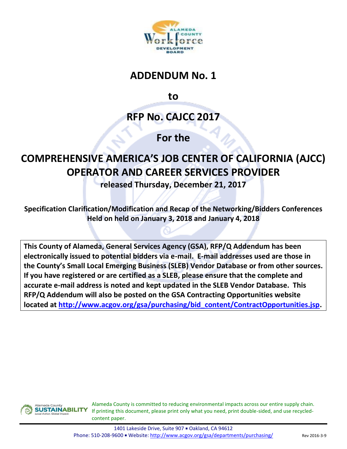

## **ADDENDUM No. 1**

**to**

**RFP No. CAJCC 2017**

## **For the**

## **COMPREHENSIVE AMERICA'S JOB CENTER OF CALIFORNIA (AJCC) OPERATOR AND CAREER SERVICES PROVIDER**

**released Thursday, December 21, 2017**

**Specification Clarification/Modification and Recap of the Networking/Bidders Conferences Held on held on January 3, 2018 and January 4, 2018**

**This County of Alameda, General Services Agency (GSA), RFP/Q Addendum has been electronically issued to potential bidders via e-mail. E-mail addresses used are those in the County's Small Local Emerging Business (SLEB) Vendor Database or from other sources. If you have registered or are certified as a SLEB, please ensure that the complete and accurate e-mail address is noted and kept updated in the SLEB Vendor Database. This RFP/Q Addendum will also be posted on the GSA Contracting Opportunities website located at [http://www.acgov.org/gsa/purchasing/bid\\_content/ContractOpportunities.jsp.](http://www.acgov.org/gsa/purchasing/bid_content/ContractOpportunities.jsp)**



Alameda County is committed to reducing environmental impacts across our entire supply chain. If printing this document, please print only what you need, print double-sided, and use recycledcontent paper.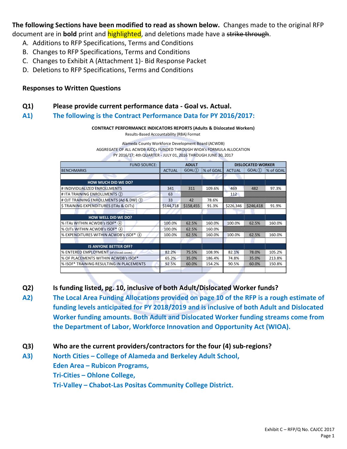**The following Sections have been modified to read as shown below.** Changes made to the original RFP document are in **bold** print and highlighted, and deletions made have a strike through.

- A. Additions to RFP Specifications, Terms and Conditions
- B. Changes to RFP Specifications, Terms and Conditions
- C. Changes to Exhibit A (Attachment 1)- Bid Response Packet
- D. Deletions to RFP Specifications, Terms and Conditions

## **Responses to Written Questions**

- **Q1) Please provide current performance data - Goal vs. Actual.**
- **A1) The following is the Contract Performance Data for PY 2016/2017:**

**CONTRACT PERFORMANCE INDICATORS REPORTS (Adults & Dislocated Workers)** Results-Based Accountability (RBA) Format

Alameda County Workforce Development Board (ACWDB) AGGREGATE OF ALL ACWDB AJCCs FUNDED THROUGH WIOA's FORMULA ALLOCATION PY 2016/17; 4th QUARTER - JULY 01, 2016 THROUGH JUNE 30, 2017

| <b>FUND SOURCE:</b>                      | <b>ADULT</b>  |           | <b>DISLOCATED WORKER</b> |               |           |           |
|------------------------------------------|---------------|-----------|--------------------------|---------------|-----------|-----------|
| <b>BENCHMARKS</b>                        | <b>ACTUAL</b> | GOAL(1)   | % of GOAL                | <b>ACTUAL</b> | GOAL(1)   | % of GOAL |
|                                          |               |           |                          |               |           |           |
| <b>HOW MUCH DID WE DO?</b>               |               |           |                          |               |           |           |
| # INDIVIDUALIZED ENROLLMENTS             | 341           | 311       | 109.6%                   | 469           | 482       | 97.3%     |
| # ITA TRAINING ENROLLMENTS (2)           | 63            |           |                          | 112           |           |           |
| # OJT TRAINING ENROLLMENTS (Ad & DW) (3) | 33            | 42        | 78.6%                    |               |           |           |
| \$TRAINING EXPENDITURES (ITAs & OJTs)    | \$144,718     | \$158,455 | 91.3%                    | \$226,346     | \$246,418 | 91.9%     |
|                                          |               |           |                          |               |           |           |
| <b>HOW WELL DID WE DO?</b>               |               |           |                          |               |           |           |
| % ITAs WITHIN ACWDB's ISOF* (4)          | 100.0%        | 62.5%     | 160.0%                   | 100.0%        | 62.5%     | 160.0%    |
| % OJTs WITHIN ACWDB's ISOF* 4            | 100.0%        | 62.5%     | 160.0%                   |               |           |           |
| % EXPENDITURES WITHIN ACWDB's ISOF* 4    | 100.0%        | 62.5%     | 160.0%                   | 100.0%        | 62.5%     | 160.0%    |
|                                          |               |           |                          |               |           |           |
| <b>IS ANYONE BETTER OFF?</b>             |               |           |                          |               |           |           |
| % ENTERED EMPLOYMENT (of closed cases)   | 82.2%         | 75.5%     | 108.9%                   | 82.1%         | 78.0%     | 105.2%    |
| % OF PLACEMENTS WITHIN ACWDB's ISOF*     | 65.2%         | 35.0%     | 186.4%                   | 74.8%         | 35.0%     | 213.8%    |
| % ISOF* TRAINING RESULTING IN PLACEMENTS | 92.5%         | 60.0%     | 154.2%                   | 90.5%         | 60.0%     | 150.8%    |
|                                          |               |           |                          |               |           |           |

**Q2) Is funding listed, pg. 10, inclusive of both Adult/Dislocated Worker funds?**

- **A2) The Local Area Funding Allocations provided on page 10 of the RFP is a rough estimate of funding levels anticipated for PY 2018/2019 and is inclusive of both Adult and Dislocated Worker funding amounts. Both Adult and Dislocated Worker funding streams come from the Department of Labor, Workforce Innovation and Opportunity Act (WIOA).**
- **Q3) Who are the current providers/contractors for the four (4) sub-regions?**
- **A3) North Cities – College of Alameda and Berkeley Adult School, Eden Area – Rubicon Programs, Tri-Cities – Ohlone College, Tri-Valley – Chabot-Las Positas Community College District.**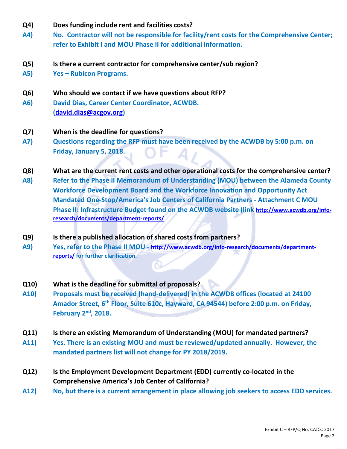- **Q4) Does funding include rent and facilities costs?**
- **A4) No. Contractor will not be responsible for facility/rent costs for the Comprehensive Center; refer to Exhibit I and MOU Phase II for additional information.**
- **Q5) Is there a current contractor for comprehensive center/sub region?**
- **A5) Yes – Rubicon Programs.**
- **Q6) Who should we contact if we have questions about RFP?**
- **A6) David Dias, Career Center Coordinator, ACWDB. [\(david.dias@acgov.org\)](mailto:david.dias@acgov.org)**
- **Q7) When is the deadline for questions?**
- **A7)****Questions regarding the RFP must have been received by the ACWDB by 5:00 p.m. on Friday, January 5, 2018.**
- **Q8) What are the current rent costs and other operational costs for the comprehensive center?**
- **A8) Refer to the Phase II Memorandum of Understanding (MOU) between the Alameda County Workforce Development Board and the Workforce Innovation and Opportunity Act Mandated One-Stop/America's Job Centers of California Partners - Attachment C MOU Phase II: Infrastructure Budget found on the ACWDB website (link [http://www.acwdb.org/info](http://www.acwdb.org/info-research/documents/department-reports/)[research/documents/department-reports/](http://www.acwdb.org/info-research/documents/department-reports/)**
- **Q9) Is there a published allocation of shared costs from partners?**
- **A9) Yes, refer to the Phase II MOU - [http://www.acwdb.org/info-research/documents/department](http://www.acwdb.org/info-research/documents/department-reports/)[reports/](http://www.acwdb.org/info-research/documents/department-reports/) for further clarification.**
- **Q10) What is the deadline for submittal of proposals?**
- **A10) Proposals must be received (hand-delivered) in the ACWDB offices (located at 24100 Amador Street, 6th Floor, Suite 610c, Hayward, CA 94544) before 2:00 p.m. on Friday, February 2nd, 2018.**
- **Q11) Is there an existing Memorandum of Understanding (MOU) for mandated partners?**
- **A11) Yes. There is an existing MOU and must be reviewed/updated annually. However, the mandated partners list will not change for PY 2018/2019.**
- **Q12) Is the Employment Development Department (EDD) currently co-located in the Comprehensive America's Job Center of California?**
- **A12) No, but there is a current arrangement in place allowing job seekers to access EDD services.**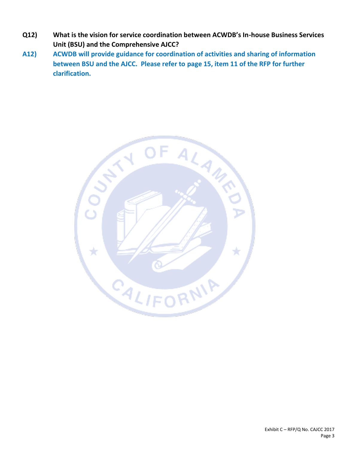- **Q12) What is the vision for service coordination between ACWDB's In-house Business Services Unit (BSU) and the Comprehensive AJCC?**
- **A12) ACWDB will provide guidance for coordination of activities and sharing of information between BSU and the AJCC. Please refer to page 15, item 11 of the RFP for further clarification.**

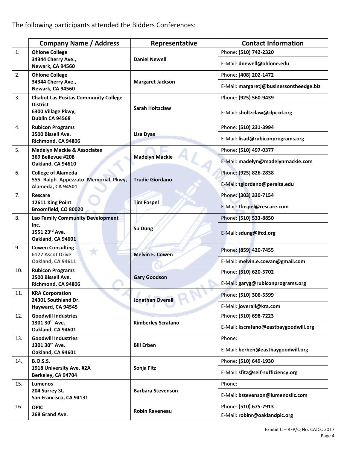|     | <b>Company Name / Address</b>                                                    | Representative            | <b>Contact Information</b>              |
|-----|----------------------------------------------------------------------------------|---------------------------|-----------------------------------------|
| 1.  | <b>Ohlone College</b>                                                            |                           | Phone: (510) 742-2320                   |
|     | 34344 Cherry Ave.,<br>Newark, CA 94560                                           | <b>Daniel Newell</b>      | E-Mail: dnewell@ohlone.edu              |
| 2.  | <b>Ohlone College</b>                                                            |                           | Phone: (408) 202-1472                   |
|     | 34344 Cherry Ave.,<br>Newark, CA 94560                                           | <b>Margaret Jackson</b>   | E-Mail: margaretj@businessontheedge.biz |
| 3.  | <b>Chabot Las Positas Community College</b>                                      |                           | Phone: (925) 560-9439                   |
|     | <b>District</b><br>6300 Village Pkwy,<br>Dublin CA 94568                         | <b>Sarah Holtzclaw</b>    | E-Mail: sholtzclaw@clpccd.org           |
| 4.  | <b>Rubicon Programs</b>                                                          |                           | Phone: (510) 231-3994                   |
|     | 2500 Bissell Ave.<br>Richmond, CA 94806                                          | Lisa Dyas                 | E-Mail: lisad@rubiconprograms.org       |
| 5.  | <b>Madelyn Mackie &amp; Associates</b><br>369 Bellevue #208<br>Oakland, CA 94610 |                           | Phone: (510) 497-0377                   |
|     |                                                                                  | <b>Madelyn Mackie</b>     | E-Mail: madelyn@madelynmackie.com       |
| 6.  | <b>College of Alameda</b>                                                        |                           | Phone: (925) 826-2838                   |
|     | 555 Ralph Appezzato Memorial Pkwy,<br>Alameda, CA 94501                          | <b>Trudie Giordano</b>    | E-Mail: tgiordano@peralta.edu           |
| 7.  | Rescare                                                                          |                           | Phone: (303) 330-7154                   |
|     | 12611 King Point<br>Broomfield, CO 80020                                         | <b>Tim Fospel</b>         | E-Mail: tfospel@rescare.com             |
| 8.  | Lao Family Community Development                                                 | Su Dung                   | Phone: (510) 533-8850                   |
|     | Inc.<br>1551 23rd Ave.<br>Oakland, CA 94601                                      |                           | E-Mail: sdung@lfcd.org                  |
| 9.  | <b>Cowen Consulting</b><br><b>6127 Ascot Drive</b>                               | <b>Melvin E. Cowen</b>    | Phone: (859) 420-7455                   |
|     | Oakland, CA 94611                                                                |                           | E-Mail: melvin.e.cowan@gmail.com        |
| 10. | <b>Rubicon Programs</b><br>2500 Bissell Ave.<br>Richmond, CA 94806               | <b>Gary Goodson</b>       | Phone: (510) 620-5702                   |
|     |                                                                                  |                           | E-Mail: garyg@rubiconprograms.org       |
| 11. | <b>KRA Corporation</b><br>24301 Southland Dr.                                    | <b>Jonathan Overall</b>   | Phone: (510) 306-5599                   |
|     | Hayward, CA 94545                                                                |                           | E-Mail: joverall@kra.com                |
| 12. | <b>Goodwill Industries</b>                                                       |                           | Phone: (510) 698-7223                   |
|     | 1301 30 <sup>th</sup> Ave.<br>Oakland, CA 94601                                  | <b>Kimberley Scrafano</b> | E-Mail: kscrafano@eastbaygoodwill.org   |
| 13. | <b>Goodwill Industries</b>                                                       |                           | Phone:                                  |
|     | 1301 30 <sup>th</sup> Ave.<br>Oakland, CA 94601                                  | <b>Bill Erben</b>         | E-Mail: berben@eastbaygoodwill.org      |
| 14. | <b>B.O.S.S.</b>                                                                  |                           | Phone: (510) 649-1930                   |
|     | 1918 University Ave. #2A<br>Berkeley, CA 94704                                   | Sonja Fitz                | E-Mail: sfitz@self-sufficiency.org      |
| 15. | Lumenos                                                                          |                           | Phone:                                  |
|     | 204 Surrey St.<br>San Francisco, CA 94131                                        | <b>Barbara Stevenson</b>  | E-Mail: bstevenson@lumenosllc.com       |
| 16. | <b>OPIC</b>                                                                      | Robin Raveneau            | Phone: (510) 675-7913                   |
|     | 268 Grand Ave.                                                                   |                           | E-Mail: robinr@oaklandpic.org           |